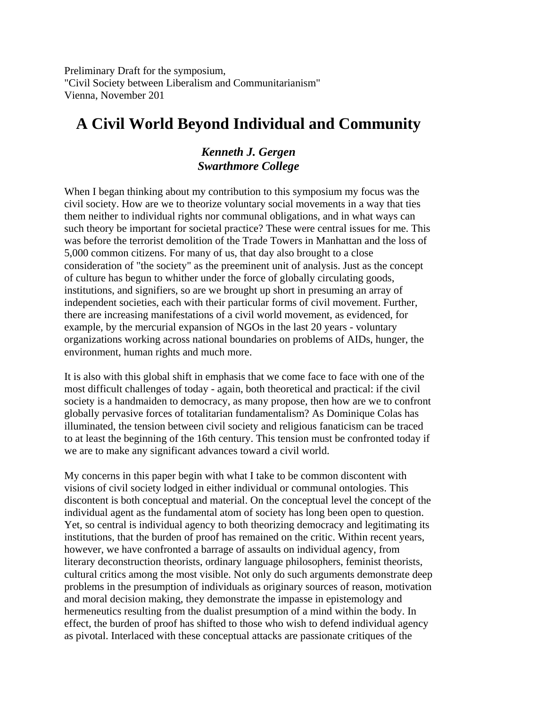Preliminary Draft for the symposium, "Civil Society between Liberalism and Communitarianism" Vienna, November 201

# **A Civil World Beyond Individual and Community**

## *Kenneth J. Gergen Swarthmore College*

When I began thinking about my contribution to this symposium my focus was the civil society. How are we to theorize voluntary social movements in a way that ties them neither to individual rights nor communal obligations, and in what ways can such theory be important for societal practice? These were central issues for me. This was before the terrorist demolition of the Trade Towers in Manhattan and the loss of 5,000 common citizens. For many of us, that day also brought to a close consideration of "the society" as the preeminent unit of analysis. Just as the concept of culture has begun to whither under the force of globally circulating goods, institutions, and signifiers, so are we brought up short in presuming an array of independent societies, each with their particular forms of civil movement. Further, there are increasing manifestations of a civil world movement, as evidenced, for example, by the mercurial expansion of NGOs in the last 20 years - voluntary organizations working across national boundaries on problems of AIDs, hunger, the environment, human rights and much more.

It is also with this global shift in emphasis that we come face to face with one of the most difficult challenges of today - again, both theoretical and practical: if the civil society is a handmaiden to democracy, as many propose, then how are we to confront globally pervasive forces of totalitarian fundamentalism? As Dominique Colas has illuminated, the tension between civil society and religious fanaticism can be traced to at least the beginning of the 16th century. This tension must be confronted today if we are to make any significant advances toward a civil world.

My concerns in this paper begin with what I take to be common discontent with visions of civil society lodged in either individual or communal ontologies. This discontent is both conceptual and material. On the conceptual level the concept of the individual agent as the fundamental atom of society has long been open to question. Yet, so central is individual agency to both theorizing democracy and legitimating its institutions, that the burden of proof has remained on the critic. Within recent years, however, we have confronted a barrage of assaults on individual agency, from literary deconstruction theorists, ordinary language philosophers, feminist theorists, cultural critics among the most visible. Not only do such arguments demonstrate deep problems in the presumption of individuals as originary sources of reason, motivation and moral decision making, they demonstrate the impasse in epistemology and hermeneutics resulting from the dualist presumption of a mind within the body. In effect, the burden of proof has shifted to those who wish to defend individual agency as pivotal. Interlaced with these conceptual attacks are passionate critiques of the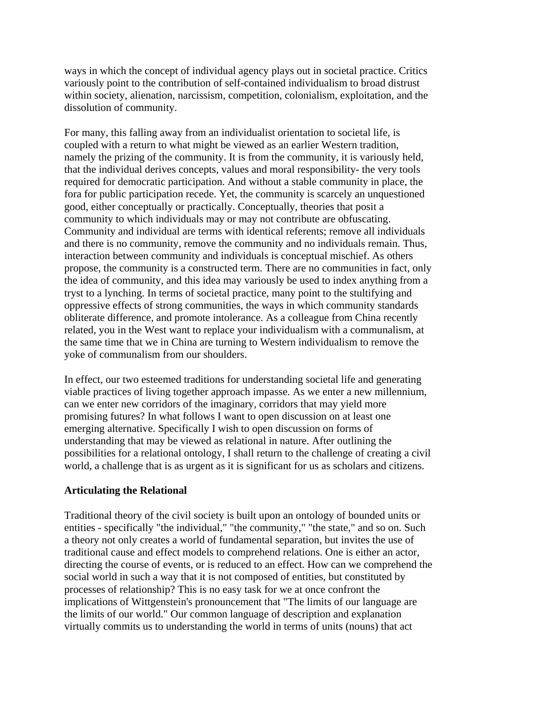ways in which the concept of individual agency plays out in societal practice. Critics variously point to the contribution of self-contained individualism to broad distrust within society, alienation, narcissism, competition, colonialism, exploitation, and the dissolution of community.

For many, this falling away from an individualist orientation to societal life, is coupled with a return to what might be viewed as an earlier Western tradition, namely the prizing of the community. It is from the community, it is variously held, that the individual derives concepts, values and moral responsibility- the very tools required for democratic participation. And without a stable community in place, the fora for public participation recede. Yet, the community is scarcely an unquestioned good, either conceptually or practically. Conceptually, theories that posit a community to which individuals may or may not contribute are obfuscating. Community and individual are terms with identical referents; remove all individuals and there is no community, remove the community and no individuals remain. Thus, interaction between community and individuals is conceptual mischief. As others propose, the community is a constructed term. There are no communities in fact, only the idea of community, and this idea may variously be used to index anything from a tryst to a lynching. In terms of societal practice, many point to the stultifying and oppressive effects of strong communities, the ways in which community standards obliterate difference, and promote intolerance. As a colleague from China recently related, you in the West want to replace your individualism with a communalism, at the same time that we in China are turning to Western individualism to remove the yoke of communalism from our shoulders.

In effect, our two esteemed traditions for understanding societal life and generating viable practices of living together approach impasse. As we enter a new millennium, can we enter new corridors of the imaginary, corridors that may yield more promising futures? In what follows I want to open discussion on at least one emerging alternative. Specifically I wish to open discussion on forms of understanding that may be viewed as relational in nature. After outlining the possibilities for a relational ontology, I shall return to the challenge of creating a civil world, a challenge that is as urgent as it is significant for us as scholars and citizens.

#### **Articulating the Relational**

Traditional theory of the civil society is built upon an ontology of bounded units or entities - specifically "the individual," "the community," "the state," and so on. Such a theory not only creates a world of fundamental separation, but invites the use of traditional cause and effect models to comprehend relations. One is either an actor, directing the course of events, or is reduced to an effect. How can we comprehend the social world in such a way that it is not composed of entities, but constituted by processes of relationship? This is no easy task for we at once confront the implications of Wittgenstein's pronouncement that "The limits of our language are the limits of our world." Our common language of description and explanation virtually commits us to understanding the world in terms of units (nouns) that act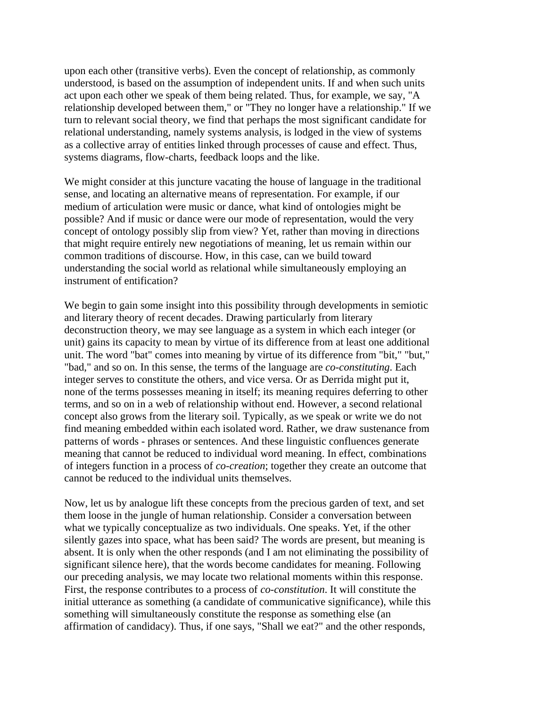upon each other (transitive verbs). Even the concept of relationship, as commonly understood, is based on the assumption of independent units. If and when such units act upon each other we speak of them being related. Thus, for example, we say, "A relationship developed between them," or "They no longer have a relationship." If we turn to relevant social theory, we find that perhaps the most significant candidate for relational understanding, namely systems analysis, is lodged in the view of systems as a collective array of entities linked through processes of cause and effect. Thus, systems diagrams, flow-charts, feedback loops and the like.

We might consider at this juncture vacating the house of language in the traditional sense, and locating an alternative means of representation. For example, if our medium of articulation were music or dance, what kind of ontologies might be possible? And if music or dance were our mode of representation, would the very concept of ontology possibly slip from view? Yet, rather than moving in directions that might require entirely new negotiations of meaning, let us remain within our common traditions of discourse. How, in this case, can we build toward understanding the social world as relational while simultaneously employing an instrument of entification?

We begin to gain some insight into this possibility through developments in semiotic and literary theory of recent decades. Drawing particularly from literary deconstruction theory, we may see language as a system in which each integer (or unit) gains its capacity to mean by virtue of its difference from at least one additional unit. The word "bat" comes into meaning by virtue of its difference from "bit," "but," "bad," and so on. In this sense, the terms of the language are *co-constituting*. Each integer serves to constitute the others, and vice versa. Or as Derrida might put it, none of the terms possesses meaning in itself; its meaning requires deferring to other terms, and so on in a web of relationship without end. However, a second relational concept also grows from the literary soil. Typically, as we speak or write we do not find meaning embedded within each isolated word. Rather, we draw sustenance from patterns of words - phrases or sentences. And these linguistic confluences generate meaning that cannot be reduced to individual word meaning. In effect, combinations of integers function in a process of *co-creation*; together they create an outcome that cannot be reduced to the individual units themselves.

Now, let us by analogue lift these concepts from the precious garden of text, and set them loose in the jungle of human relationship. Consider a conversation between what we typically conceptualize as two individuals. One speaks. Yet, if the other silently gazes into space, what has been said? The words are present, but meaning is absent. It is only when the other responds (and I am not eliminating the possibility of significant silence here), that the words become candidates for meaning. Following our preceding analysis, we may locate two relational moments within this response. First, the response contributes to a process of *co-constitution*. It will constitute the initial utterance as something (a candidate of communicative significance), while this something will simultaneously constitute the response as something else (an affirmation of candidacy). Thus, if one says, "Shall we eat?" and the other responds,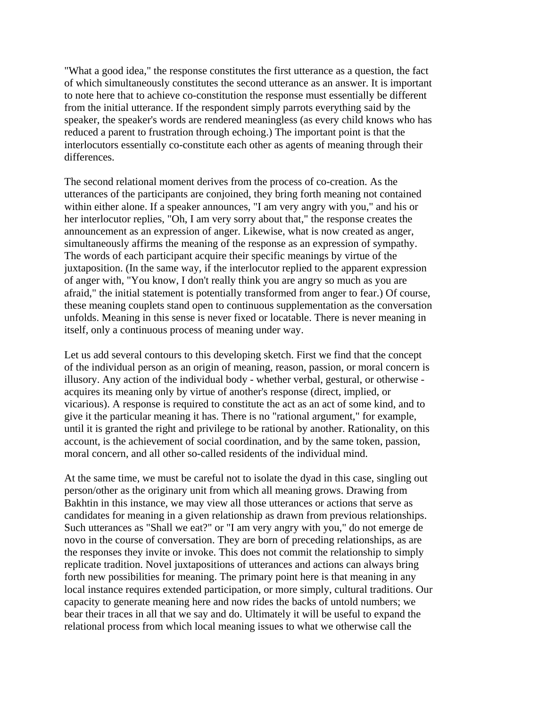"What a good idea," the response constitutes the first utterance as a question, the fact of which simultaneously constitutes the second utterance as an answer. It is important to note here that to achieve co-constitution the response must essentially be different from the initial utterance. If the respondent simply parrots everything said by the speaker, the speaker's words are rendered meaningless (as every child knows who has reduced a parent to frustration through echoing.) The important point is that the interlocutors essentially co-constitute each other as agents of meaning through their differences.

The second relational moment derives from the process of co-creation. As the utterances of the participants are conjoined, they bring forth meaning not contained within either alone. If a speaker announces, "I am very angry with you," and his or her interlocutor replies, "Oh, I am very sorry about that," the response creates the announcement as an expression of anger. Likewise, what is now created as anger, simultaneously affirms the meaning of the response as an expression of sympathy. The words of each participant acquire their specific meanings by virtue of the juxtaposition. (In the same way, if the interlocutor replied to the apparent expression of anger with, "You know, I don't really think you are angry so much as you are afraid," the initial statement is potentially transformed from anger to fear.) Of course, these meaning couplets stand open to continuous supplementation as the conversation unfolds. Meaning in this sense is never fixed or locatable. There is never meaning in itself, only a continuous process of meaning under way.

Let us add several contours to this developing sketch. First we find that the concept of the individual person as an origin of meaning, reason, passion, or moral concern is illusory. Any action of the individual body - whether verbal, gestural, or otherwise acquires its meaning only by virtue of another's response (direct, implied, or vicarious). A response is required to constitute the act as an act of some kind, and to give it the particular meaning it has. There is no "rational argument," for example, until it is granted the right and privilege to be rational by another. Rationality, on this account, is the achievement of social coordination, and by the same token, passion, moral concern, and all other so-called residents of the individual mind.

At the same time, we must be careful not to isolate the dyad in this case, singling out person/other as the originary unit from which all meaning grows. Drawing from Bakhtin in this instance, we may view all those utterances or actions that serve as candidates for meaning in a given relationship as drawn from previous relationships. Such utterances as "Shall we eat?" or "I am very angry with you," do not emerge de novo in the course of conversation. They are born of preceding relationships, as are the responses they invite or invoke. This does not commit the relationship to simply replicate tradition. Novel juxtapositions of utterances and actions can always bring forth new possibilities for meaning. The primary point here is that meaning in any local instance requires extended participation, or more simply, cultural traditions. Our capacity to generate meaning here and now rides the backs of untold numbers; we bear their traces in all that we say and do. Ultimately it will be useful to expand the relational process from which local meaning issues to what we otherwise call the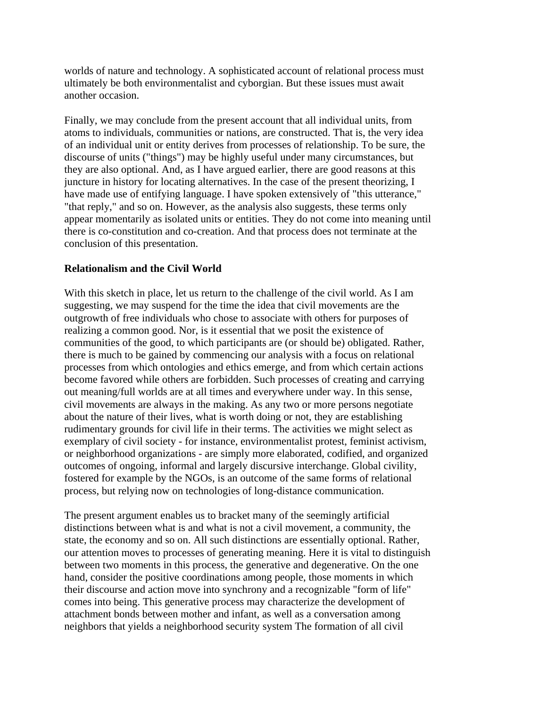worlds of nature and technology. A sophisticated account of relational process must ultimately be both environmentalist and cyborgian. But these issues must await another occasion.

Finally, we may conclude from the present account that all individual units, from atoms to individuals, communities or nations, are constructed. That is, the very idea of an individual unit or entity derives from processes of relationship. To be sure, the discourse of units ("things") may be highly useful under many circumstances, but they are also optional. And, as I have argued earlier, there are good reasons at this juncture in history for locating alternatives. In the case of the present theorizing, I have made use of entifying language. I have spoken extensively of "this utterance," "that reply," and so on. However, as the analysis also suggests, these terms only appear momentarily as isolated units or entities. They do not come into meaning until there is co-constitution and co-creation. And that process does not terminate at the conclusion of this presentation.

### **Relationalism and the Civil World**

With this sketch in place, let us return to the challenge of the civil world. As I am suggesting, we may suspend for the time the idea that civil movements are the outgrowth of free individuals who chose to associate with others for purposes of realizing a common good. Nor, is it essential that we posit the existence of communities of the good, to which participants are (or should be) obligated. Rather, there is much to be gained by commencing our analysis with a focus on relational processes from which ontologies and ethics emerge, and from which certain actions become favored while others are forbidden. Such processes of creating and carrying out meaning/full worlds are at all times and everywhere under way. In this sense, civil movements are always in the making. As any two or more persons negotiate about the nature of their lives, what is worth doing or not, they are establishing rudimentary grounds for civil life in their terms. The activities we might select as exemplary of civil society - for instance, environmentalist protest, feminist activism, or neighborhood organizations - are simply more elaborated, codified, and organized outcomes of ongoing, informal and largely discursive interchange. Global civility, fostered for example by the NGOs, is an outcome of the same forms of relational process, but relying now on technologies of long-distance communication.

The present argument enables us to bracket many of the seemingly artificial distinctions between what is and what is not a civil movement, a community, the state, the economy and so on. All such distinctions are essentially optional. Rather, our attention moves to processes of generating meaning. Here it is vital to distinguish between two moments in this process, the generative and degenerative. On the one hand, consider the positive coordinations among people, those moments in which their discourse and action move into synchrony and a recognizable "form of life" comes into being. This generative process may characterize the development of attachment bonds between mother and infant, as well as a conversation among neighbors that yields a neighborhood security system The formation of all civil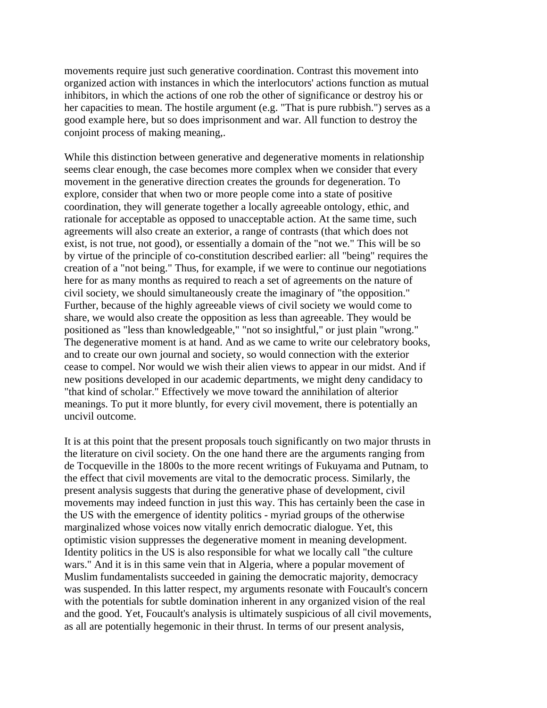movements require just such generative coordination. Contrast this movement into organized action with instances in which the interlocutors' actions function as mutual inhibitors, in which the actions of one rob the other of significance or destroy his or her capacities to mean. The hostile argument (e.g. "That is pure rubbish.") serves as a good example here, but so does imprisonment and war. All function to destroy the conjoint process of making meaning,.

While this distinction between generative and degenerative moments in relationship seems clear enough, the case becomes more complex when we consider that every movement in the generative direction creates the grounds for degeneration. To explore, consider that when two or more people come into a state of positive coordination, they will generate together a locally agreeable ontology, ethic, and rationale for acceptable as opposed to unacceptable action. At the same time, such agreements will also create an exterior, a range of contrasts (that which does not exist, is not true, not good), or essentially a domain of the "not we." This will be so by virtue of the principle of co-constitution described earlier: all "being" requires the creation of a "not being." Thus, for example, if we were to continue our negotiations here for as many months as required to reach a set of agreements on the nature of civil society, we should simultaneously create the imaginary of "the opposition." Further, because of the highly agreeable views of civil society we would come to share, we would also create the opposition as less than agreeable. They would be positioned as "less than knowledgeable," "not so insightful," or just plain "wrong." The degenerative moment is at hand. And as we came to write our celebratory books, and to create our own journal and society, so would connection with the exterior cease to compel. Nor would we wish their alien views to appear in our midst. And if new positions developed in our academic departments, we might deny candidacy to "that kind of scholar." Effectively we move toward the annihilation of alterior meanings. To put it more bluntly, for every civil movement, there is potentially an uncivil outcome.

It is at this point that the present proposals touch significantly on two major thrusts in the literature on civil society. On the one hand there are the arguments ranging from de Tocqueville in the 1800s to the more recent writings of Fukuyama and Putnam, to the effect that civil movements are vital to the democratic process. Similarly, the present analysis suggests that during the generative phase of development, civil movements may indeed function in just this way. This has certainly been the case in the US with the emergence of identity politics - myriad groups of the otherwise marginalized whose voices now vitally enrich democratic dialogue. Yet, this optimistic vision suppresses the degenerative moment in meaning development. Identity politics in the US is also responsible for what we locally call "the culture wars." And it is in this same vein that in Algeria, where a popular movement of Muslim fundamentalists succeeded in gaining the democratic majority, democracy was suspended. In this latter respect, my arguments resonate with Foucault's concern with the potentials for subtle domination inherent in any organized vision of the real and the good. Yet, Foucault's analysis is ultimately suspicious of all civil movements, as all are potentially hegemonic in their thrust. In terms of our present analysis,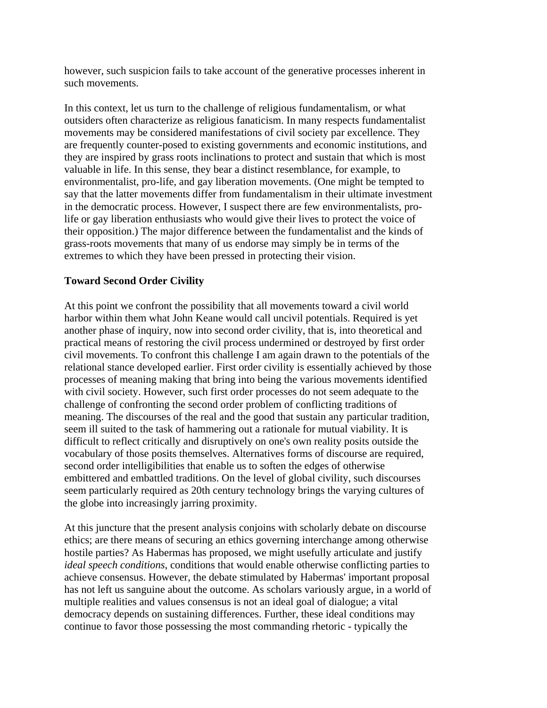however, such suspicion fails to take account of the generative processes inherent in such movements.

In this context, let us turn to the challenge of religious fundamentalism, or what outsiders often characterize as religious fanaticism. In many respects fundamentalist movements may be considered manifestations of civil society par excellence. They are frequently counter-posed to existing governments and economic institutions, and they are inspired by grass roots inclinations to protect and sustain that which is most valuable in life. In this sense, they bear a distinct resemblance, for example, to environmentalist, pro-life, and gay liberation movements. (One might be tempted to say that the latter movements differ from fundamentalism in their ultimate investment in the democratic process. However, I suspect there are few environmentalists, prolife or gay liberation enthusiasts who would give their lives to protect the voice of their opposition.) The major difference between the fundamentalist and the kinds of grass-roots movements that many of us endorse may simply be in terms of the extremes to which they have been pressed in protecting their vision.

### **Toward Second Order Civility**

At this point we confront the possibility that all movements toward a civil world harbor within them what John Keane would call uncivil potentials. Required is yet another phase of inquiry, now into second order civility, that is, into theoretical and practical means of restoring the civil process undermined or destroyed by first order civil movements. To confront this challenge I am again drawn to the potentials of the relational stance developed earlier. First order civility is essentially achieved by those processes of meaning making that bring into being the various movements identified with civil society. However, such first order processes do not seem adequate to the challenge of confronting the second order problem of conflicting traditions of meaning. The discourses of the real and the good that sustain any particular tradition, seem ill suited to the task of hammering out a rationale for mutual viability. It is difficult to reflect critically and disruptively on one's own reality posits outside the vocabulary of those posits themselves. Alternatives forms of discourse are required, second order intelligibilities that enable us to soften the edges of otherwise embittered and embattled traditions. On the level of global civility, such discourses seem particularly required as 20th century technology brings the varying cultures of the globe into increasingly jarring proximity.

At this juncture that the present analysis conjoins with scholarly debate on discourse ethics; are there means of securing an ethics governing interchange among otherwise hostile parties? As Habermas has proposed, we might usefully articulate and justify *ideal speech conditions*, conditions that would enable otherwise conflicting parties to achieve consensus. However, the debate stimulated by Habermas' important proposal has not left us sanguine about the outcome. As scholars variously argue, in a world of multiple realities and values consensus is not an ideal goal of dialogue; a vital democracy depends on sustaining differences. Further, these ideal conditions may continue to favor those possessing the most commanding rhetoric - typically the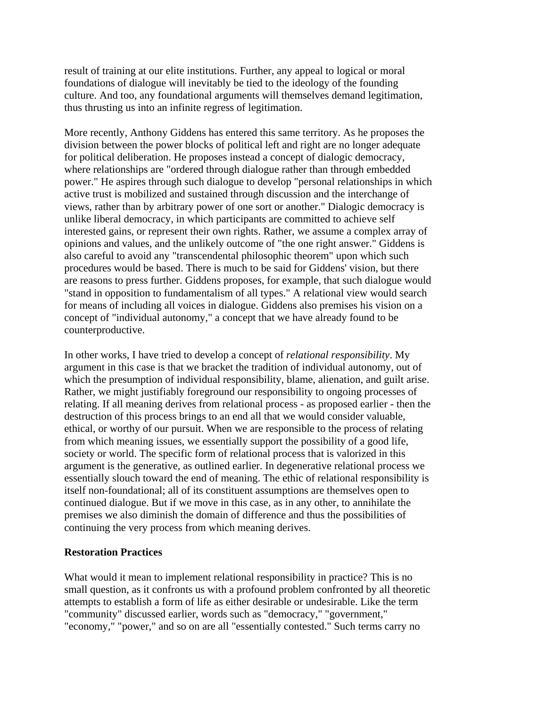result of training at our elite institutions. Further, any appeal to logical or moral foundations of dialogue will inevitably be tied to the ideology of the founding culture. And too, any foundational arguments will themselves demand legitimation, thus thrusting us into an infinite regress of legitimation.

More recently, Anthony Giddens has entered this same territory. As he proposes the division between the power blocks of political left and right are no longer adequate for political deliberation. He proposes instead a concept of dialogic democracy, where relationships are "ordered through dialogue rather than through embedded power." He aspires through such dialogue to develop "personal relationships in which active trust is mobilized and sustained through discussion and the interchange of views, rather than by arbitrary power of one sort or another." Dialogic democracy is unlike liberal democracy, in which participants are committed to achieve self interested gains, or represent their own rights. Rather, we assume a complex array of opinions and values, and the unlikely outcome of "the one right answer." Giddens is also careful to avoid any "transcendental philosophic theorem" upon which such procedures would be based. There is much to be said for Giddens' vision, but there are reasons to press further. Giddens proposes, for example, that such dialogue would "stand in opposition to fundamentalism of all types." A relational view would search for means of including all voices in dialogue. Giddens also premises his vision on a concept of "individual autonomy," a concept that we have already found to be counterproductive.

In other works, I have tried to develop a concept of *relational responsibility*. My argument in this case is that we bracket the tradition of individual autonomy, out of which the presumption of individual responsibility, blame, alienation, and guilt arise. Rather, we might justifiably foreground our responsibility to ongoing processes of relating. If all meaning derives from relational process - as proposed earlier - then the destruction of this process brings to an end all that we would consider valuable, ethical, or worthy of our pursuit. When we are responsible to the process of relating from which meaning issues, we essentially support the possibility of a good life, society or world. The specific form of relational process that is valorized in this argument is the generative, as outlined earlier. In degenerative relational process we essentially slouch toward the end of meaning. The ethic of relational responsibility is itself non-foundational; all of its constituent assumptions are themselves open to continued dialogue. But if we move in this case, as in any other, to annihilate the premises we also diminish the domain of difference and thus the possibilities of continuing the very process from which meaning derives.

#### **Restoration Practices**

What would it mean to implement relational responsibility in practice? This is no small question, as it confronts us with a profound problem confronted by all theoretic attempts to establish a form of life as either desirable or undesirable. Like the term "community" discussed earlier, words such as "democracy," "government," "economy," "power," and so on are all "essentially contested." Such terms carry no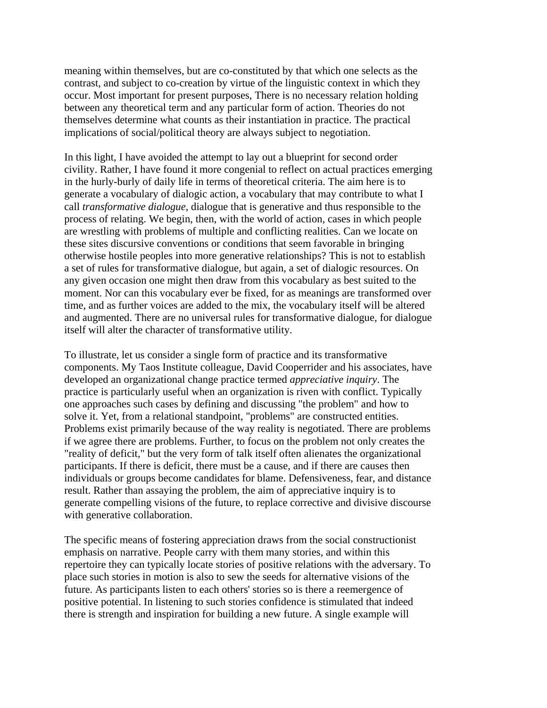meaning within themselves, but are co-constituted by that which one selects as the contrast, and subject to co-creation by virtue of the linguistic context in which they occur. Most important for present purposes, There is no necessary relation holding between any theoretical term and any particular form of action. Theories do not themselves determine what counts as their instantiation in practice. The practical implications of social/political theory are always subject to negotiation.

In this light, I have avoided the attempt to lay out a blueprint for second order civility. Rather, I have found it more congenial to reflect on actual practices emerging in the hurly-burly of daily life in terms of theoretical criteria. The aim here is to generate a vocabulary of dialogic action, a vocabulary that may contribute to what I call *transformative dialogue*, dialogue that is generative and thus responsible to the process of relating. We begin, then, with the world of action, cases in which people are wrestling with problems of multiple and conflicting realities. Can we locate on these sites discursive conventions or conditions that seem favorable in bringing otherwise hostile peoples into more generative relationships? This is not to establish a set of rules for transformative dialogue, but again, a set of dialogic resources. On any given occasion one might then draw from this vocabulary as best suited to the moment. Nor can this vocabulary ever be fixed, for as meanings are transformed over time, and as further voices are added to the mix, the vocabulary itself will be altered and augmented. There are no universal rules for transformative dialogue, for dialogue itself will alter the character of transformative utility.

To illustrate, let us consider a single form of practice and its transformative components. My Taos Institute colleague, David Cooperrider and his associates, have developed an organizational change practice termed *appreciative inquiry*. The practice is particularly useful when an organization is riven with conflict. Typically one approaches such cases by defining and discussing "the problem" and how to solve it. Yet, from a relational standpoint, "problems" are constructed entities. Problems exist primarily because of the way reality is negotiated. There are problems if we agree there are problems. Further, to focus on the problem not only creates the "reality of deficit," but the very form of talk itself often alienates the organizational participants. If there is deficit, there must be a cause, and if there are causes then individuals or groups become candidates for blame. Defensiveness, fear, and distance result. Rather than assaying the problem, the aim of appreciative inquiry is to generate compelling visions of the future, to replace corrective and divisive discourse with generative collaboration.

The specific means of fostering appreciation draws from the social constructionist emphasis on narrative. People carry with them many stories, and within this repertoire they can typically locate stories of positive relations with the adversary. To place such stories in motion is also to sew the seeds for alternative visions of the future. As participants listen to each others' stories so is there a reemergence of positive potential. In listening to such stories confidence is stimulated that indeed there is strength and inspiration for building a new future. A single example will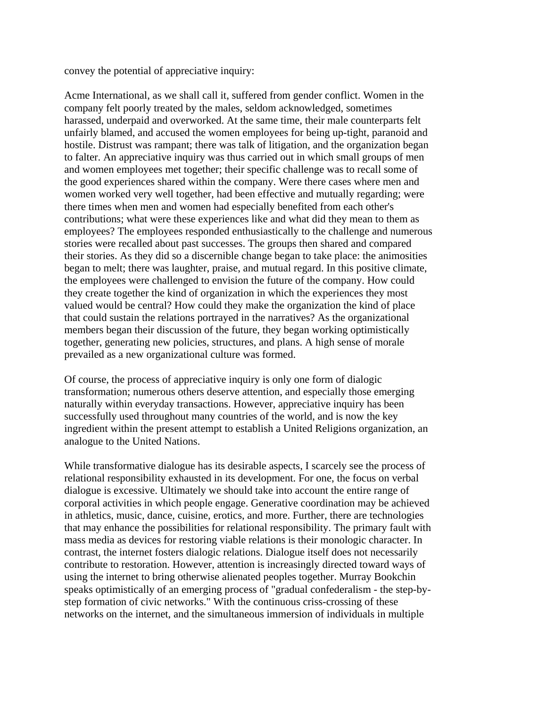convey the potential of appreciative inquiry:

Acme International, as we shall call it, suffered from gender conflict. Women in the company felt poorly treated by the males, seldom acknowledged, sometimes harassed, underpaid and overworked. At the same time, their male counterparts felt unfairly blamed, and accused the women employees for being up-tight, paranoid and hostile. Distrust was rampant; there was talk of litigation, and the organization began to falter. An appreciative inquiry was thus carried out in which small groups of men and women employees met together; their specific challenge was to recall some of the good experiences shared within the company. Were there cases where men and women worked very well together, had been effective and mutually regarding; were there times when men and women had especially benefited from each other's contributions; what were these experiences like and what did they mean to them as employees? The employees responded enthusiastically to the challenge and numerous stories were recalled about past successes. The groups then shared and compared their stories. As they did so a discernible change began to take place: the animosities began to melt; there was laughter, praise, and mutual regard. In this positive climate, the employees were challenged to envision the future of the company. How could they create together the kind of organization in which the experiences they most valued would be central? How could they make the organization the kind of place that could sustain the relations portrayed in the narratives? As the organizational members began their discussion of the future, they began working optimistically together, generating new policies, structures, and plans. A high sense of morale prevailed as a new organizational culture was formed.

Of course, the process of appreciative inquiry is only one form of dialogic transformation; numerous others deserve attention, and especially those emerging naturally within everyday transactions. However, appreciative inquiry has been successfully used throughout many countries of the world, and is now the key ingredient within the present attempt to establish a United Religions organization, an analogue to the United Nations.

While transformative dialogue has its desirable aspects, I scarcely see the process of relational responsibility exhausted in its development. For one, the focus on verbal dialogue is excessive. Ultimately we should take into account the entire range of corporal activities in which people engage. Generative coordination may be achieved in athletics, music, dance, cuisine, erotics, and more. Further, there are technologies that may enhance the possibilities for relational responsibility. The primary fault with mass media as devices for restoring viable relations is their monologic character. In contrast, the internet fosters dialogic relations. Dialogue itself does not necessarily contribute to restoration. However, attention is increasingly directed toward ways of using the internet to bring otherwise alienated peoples together. Murray Bookchin speaks optimistically of an emerging process of "gradual confederalism - the step-bystep formation of civic networks." With the continuous criss-crossing of these networks on the internet, and the simultaneous immersion of individuals in multiple